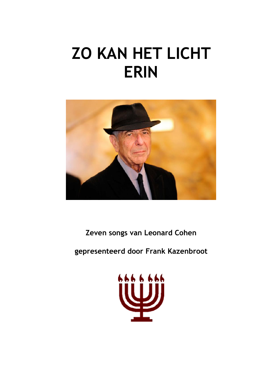# **ZO KAN HET LICHT ERIN**



**Zeven songs van Leonard Cohen**

**gepresenteerd door Frank Kazenbroot**

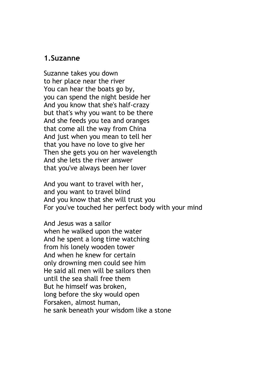#### **1.Suzanne**

Suzanne takes you down to her place near the river You can hear the boats go by, you can spend the night beside her And you know that she's half-crazy but that's why you want to be there And she feeds you tea and oranges that come all the way from China And just when you mean to tell her that you have no love to give her Then she gets you on her wavelength And she lets the river answer that you've always been her lover

And you want to travel with her, and you want to travel blind And you know that she will trust you For you've touched her perfect body with your mind

And Jesus was a sailor when he walked upon the water And he spent a long time watching from his lonely wooden tower And when he knew for certain only drowning men could see him He said all men will be sailors then until the sea shall free them But he himself was broken, long before the sky would open Forsaken, almost human, he sank beneath your wisdom like a stone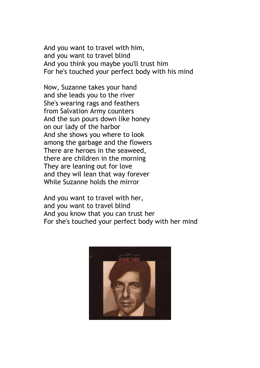And you want to travel with him, and you want to travel blind And you think you maybe you'll trust him For he's touched your perfect body with his mind

Now, Suzanne takes your hand and she leads you to the river She's wearing rags and feathers from Salvation Army counters And the sun pours down like honey on our lady of the harbor And she shows you where to look among the garbage and the flowers There are heroes in the seaweed, there are children in the morning They are leaning out for love and they wil lean that way forever While Suzanne holds the mirror

And you want to travel with her, and you want to travel blind And you know that you can trust her For she's touched your perfect body with her mind

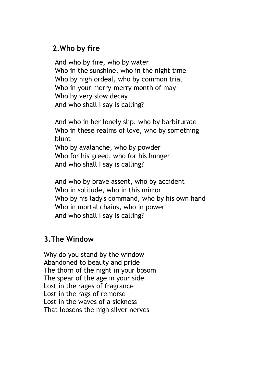## **2.Who by fire**

And who by fire, who by water Who in the sunshine, who in the night time Who by high ordeal, who by common trial Who in your merry-merry month of may Who by very slow decay And who shall I say is calling?

And who in her lonely slip, who by barbiturate Who in these realms of love, who by something blunt Who by avalanche, who by powder Who for his greed, who for his hunger And who shall I say is calling?

And who by brave assent, who by accident Who in solitude, who in this mirror Who by his lady's command, who by his own hand Who in mortal chains, who in power And who shall I say is calling?

### **3.The Window**

Why do you stand by the window Abandoned to beauty and pride The thorn of the night in your bosom The spear of the age in your side Lost in the rages of fragrance Lost in the rags of remorse Lost in the waves of a sickness That loosens the high silver nerves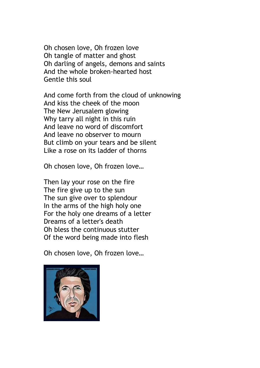Oh chosen love, Oh frozen love Oh tangle of matter and ghost Oh darling of angels, demons and saints And the whole broken-hearted host Gentle this soul

And come forth from the cloud of unknowing And kiss the cheek of the moon The New Jerusalem glowing Why tarry all night in this ruin And leave no word of discomfort And leave no observer to mourn But climb on your tears and be silent Like a rose on its ladder of thorns

Oh chosen love, Oh frozen love…

Then lay your rose on the fire The fire give up to the sun The sun give over to splendour In the arms of the high holy one For the holy one dreams of a letter Dreams of a letter's death Oh bless the continuous stutter Of the word being made into flesh

Oh chosen love, Oh frozen love…

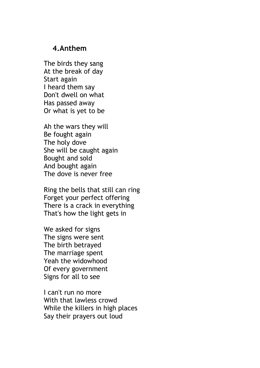#### **4.Anthem**

The birds they sang At the break of day Start again I heard them say Don't dwell on what Has passed away Or what is yet to be

Ah the wars they will Be fought again The holy dove She will be caught again Bought and sold And bought again The dove is never free

Ring the bells that still can ring Forget your perfect offering There is a crack in everything That's how the light gets in

We asked for signs The signs were sent The birth betrayed The marriage spent Yeah the widowhood Of every government Signs for all to see

I can't run no more With that lawless crowd While the killers in high places Say their prayers out loud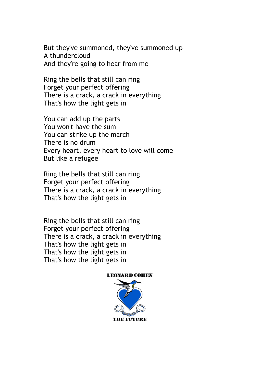But they've summoned, they've summoned up A thundercloud And they're going to hear from me

Ring the bells that still can ring Forget your perfect offering There is a crack, a crack in everything That's how the light gets in

You can add up the parts You won't have the sum You can strike up the march There is no drum Every heart, every heart to love will come But like a refugee

Ring the bells that still can ring Forget your perfect offering There is a crack, a crack in everything That's how the light gets in

Ring the bells that still can ring Forget your perfect offering There is a crack, a crack in everything That's how the light gets in That's how the light gets in That's how the light gets in

#### **LEONARD COHEN**

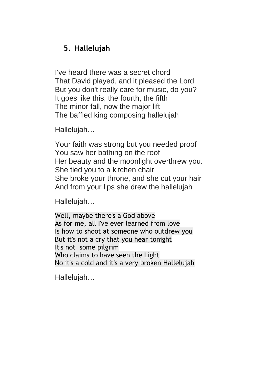## **5. Hallelujah**

I've heard there was a secret chord That David played, and it pleased the Lord But you don't really care for music, do you? It goes like this, the fourth, the fifth The minor fall, now the major lift The baffled king composing hallelujah

Hallelujah…

Your faith was strong but you needed proof You saw her bathing on the roof Her beauty and the moonlight overthrew you. She tied you to a kitchen chair She broke your throne, and she cut your hair And from your lips she drew the hallelujah

Hallelujah…

Well, maybe there's a God above As for me, all I've ever learned from love Is how to shoot at someone who outdrew you But it's not a cry that you hear tonight It's not some pilgrim Who claims to have seen the Light No it's a cold and it's a very broken Hallelujah

Hallelujah…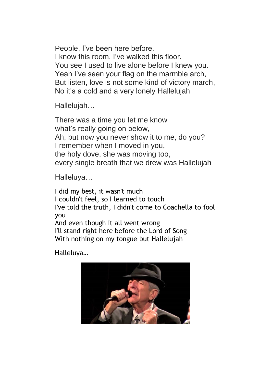People, I've been here before. I know this room, I've walked this floor. You see I used to live alone before I knew you. Yeah I've seen your flag on the marmble arch, But listen, love is not some kind of victory march, No it's a cold and a very lonely Hallelujah

Hallelujah…

There was a time you let me know what's really going on below, Ah, but now you never show it to me, do you? I remember when I moved in you, the holy dove, she was moving too, every single breath that we drew was Hallelujah

Halleluya…

I did my best, it wasn't much I couldn't feel, so I learned to touch I've told the truth, I didn't come to Coachella to fool you And even though it all went wrong I'll stand right here before the Lord of Song With nothing on my tongue but Hallelujah

Halleluya…

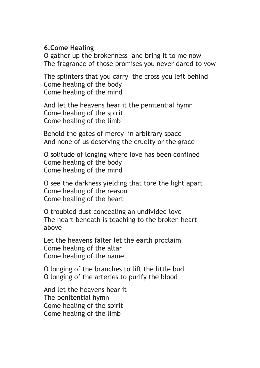#### **6.Come Healing**

O gather up the brokenness and bring it to me now The fragrance of those promises you never dared to vow

The splinters that you carry the cross you left behind Come healing of the body Come healing of the mind

And let the heavens hear it the penitential hymn Come healing of the spirit Come healing of the limb

Behold the gates of mercy in arbitrary space And none of us deserving the cruelty or the grace

O solitude of longing where love has been confined Come healing of the body Come healing of the mind

O see the darkness yielding that tore the light apart Come healing of the reason Come healing of the heart

O troubled dust concealing an undivided love The heart beneath is teaching to the broken heart above

Let the heavens falter let the earth proclaim Come healing of the altar Come healing of the name

O longing of the branches to lift the little bud O longing of the arteries to purify the blood

And let the heavens hear it The penitential hymn Come healing of the spirit Come healing of the limb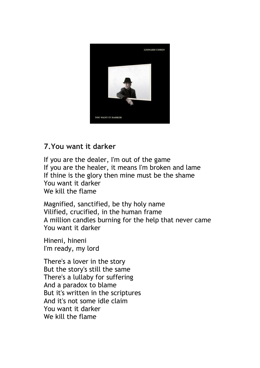

## **7.You want it darker**

If you are the dealer, I'm out of the game If you are the healer, it means I'm broken and lame If thine is the glory then mine must be the shame You want it darker We kill the flame

Magnified, sanctified, be thy holy name Vilified, crucified, in the human frame A million candles burning for the help that never came You want it darker

Hineni, hineni I'm ready, my lord

There's a lover in the story But the story's still the same There's a lullaby for suffering And a paradox to blame But it's written in the scriptures And it's not some idle claim You want it darker We kill the flame